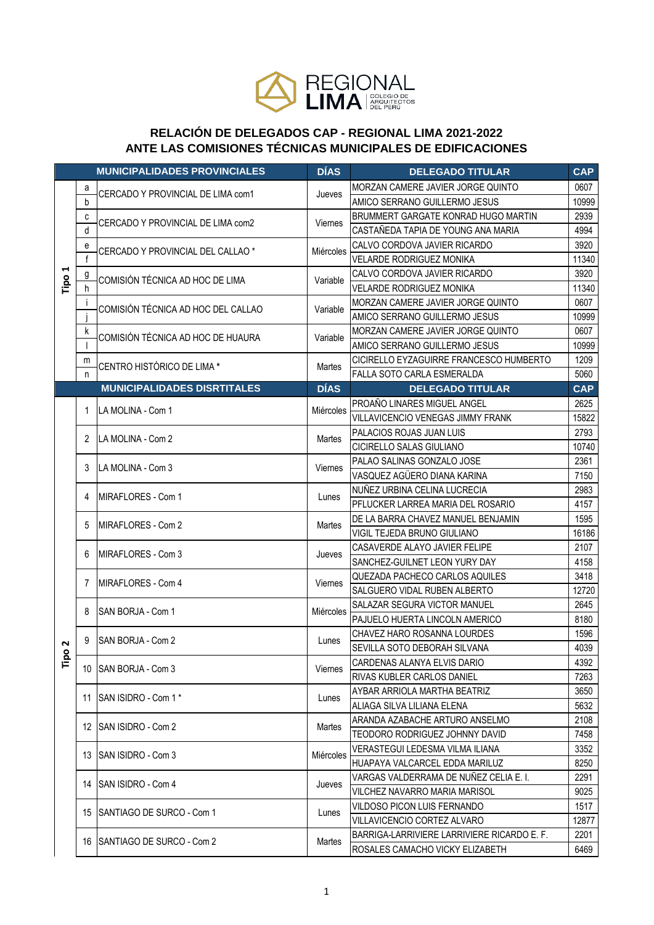

## RELACIÓN DE DELEGADOS CAP - REGIONAL LIMA 2021-2022 ANTE LAS COMISIONES TÉCNICAS MUNICIPALES DE EDIFICACIONES

|           |                | <b>MUNICIPALIDADES PROVINCIALES</b>                     | <b>DÍAS</b>     | <b>DELEGADO TITULAR</b>                     | <b>CAP</b> |
|-----------|----------------|---------------------------------------------------------|-----------------|---------------------------------------------|------------|
| 4<br>Tipo | а              |                                                         |                 | MORZAN CAMERE JAVIER JORGE QUINTO           | 0607       |
|           | b              | CERCADO Y PROVINCIAL DE LIMA com1                       | Jueves          | AMICO SERRANO GUILLERMO JESUS               | 10999      |
|           | c              | CERCADO Y PROVINCIAL DE LIMA com2                       | Viernes         | BRUMMERT GARGATE KONRAD HUGO MARTIN         | 2939       |
|           | d              |                                                         |                 | CASTAÑEDA TAPIA DE YOUNG ANA MARIA          | 4994       |
|           | e              | CERCADO Y PROVINCIAL DEL CALLAO *                       | Miércoles       | CALVO CORDOVA JAVIER RICARDO                | 3920       |
|           | $\mathsf{f}$   |                                                         |                 | <b>VELARDE RODRIGUEZ MONIKA</b>             | 11340      |
|           | $\overline{g}$ | COMISIÓN TÉCNICA AD HOC DE LIMA                         | Variable        | CALVO CORDOVA JAVIER RICARDO                | 3920       |
|           | h              |                                                         |                 | VELARDE RODRIGUEZ MONIKA                    | 11340      |
|           | j.             | COMISIÓN TÉCNICA AD HOC DEL CALLAO                      | Variable        | MORZAN CAMERE JAVIER JORGE QUINTO           | 0607       |
|           |                |                                                         |                 | AMICO SERRANO GUILLERMO JESUS               | 10999      |
|           | k              | COMISIÓN TÉCNICA AD HOC DE HUAURA                       | Variable        | MORZAN CAMERE JAVIER JORGE QUINTO           | 0607       |
|           |                |                                                         |                 | AMICO SERRANO GUILLERMO JESUS               | 10999      |
|           | m              | CENTRO HISTÓRICO DE LIMA *                              | Martes          | CICIRELLO EYZAGUIRRE FRANCESCO HUMBERTO     | 1209       |
|           | n              |                                                         |                 | FALLA SOTO CARLA ESMERALDA                  | 5060       |
|           |                | <b>MUNICIPALIDADES DISRTITALES</b>                      | <b>DÍAS</b>     | <b>DELEGADO TITULAR</b>                     | <b>CAP</b> |
|           | 1              | LA MOLINA - Com 1                                       | Miércoles       | PROAÑO LINARES MIGUEL ANGEL                 | 2625       |
|           |                |                                                         |                 | VILLAVICENCIO VENEGAS JIMMY FRANK           | 15822      |
|           | 2              | LA MOLINA - Com 2                                       | Martes          | PALACIOS ROJAS JUAN LUIS                    | 2793       |
|           |                |                                                         |                 | CICIRELLO SALAS GIULIANO                    | 10740      |
|           | 3              | LA MOLINA - Com 3                                       | Viernes         | PALAO SALINAS GONZALO JOSE                  | 2361       |
|           |                |                                                         |                 | VASQUEZ AGÜERO DIANA KARINA                 | 7150       |
|           | 4              | <b>MIRAFLORES - Com 1</b>                               | Lunes           | NUÑEZ URBINA CELINA LUCRECIA                | 2983       |
|           |                |                                                         |                 | PFLUCKER LARREA MARIA DEL ROSARIO           | 4157       |
|           | 5              | MIRAFLORES - Com 2                                      | Martes          | DE LA BARRA CHAVEZ MANUEL BENJAMIN          | 1595       |
|           |                |                                                         |                 | VIGIL TEJEDA BRUNO GIULIANO                 | 16186      |
|           | 6              | MIRAFLORES - Com 3                                      | Jueves          | CASAVERDE ALAYO JAVIER FELIPE               | 2107       |
|           |                |                                                         |                 | SANCHEZ-GUILNET LEON YURY DAY               | 4158       |
|           | 7              | MIRAFLORES - Com 4                                      | Viernes         | QUEZADA PACHECO CARLOS AQUILES              | 3418       |
|           |                |                                                         |                 | SALGUERO VIDAL RUBEN ALBERTO                | 12720      |
|           | 8              | SAN BORJA - Com 1                                       | Miércoles       | SALAZAR SEGURA VICTOR MANUEL                | 2645       |
|           |                |                                                         |                 | PAJUELO HUERTA LINCOLN AMERICO              | 8180       |
|           | 9              | SAN BORJA - Com 2                                       | Lunes           | CHAVEZ HARO ROSANNA LOURDES                 | 1596       |
| 2<br>۰    |                |                                                         |                 | SEVILLA SOTO DEBORAH SILVANA                | 4039       |
| Ĕ         | 10             | <b>SAN BORJA - Com 3</b>                                | Viernes         | CARDENAS ALANYA ELVIS DARIO                 | 4392       |
|           |                |                                                         |                 | RIVAS KUBLER CARLOS DANIEL                  | 7263       |
|           | 11             | SAN ISIDRO - Com 1*                                     | Lunes           | AYBAR ARRIOLA MARTHA BEATRIZ                | 3650       |
|           |                |                                                         |                 | ALIAGA SILVA LILIANA ELENA                  | 5632       |
|           | 12             | <b>ISAN ISIDRO - Com 2</b>                              | Martes          | ARANDA AZABACHE ARTURO ANSELMO              | 2108       |
|           |                |                                                         |                 | TEODORO RODRIGUEZ JOHNNY DAVID              | 7458       |
|           | 13             | <b>ISAN ISIDRO - Com 3</b><br>14 SAN ISIDRO - Com 4     | Miércoles       | VERASTEGUI LEDESMA VILMA ILIANA             | 3352       |
|           |                |                                                         |                 | HUAPAYA VALCARCEL EDDA MARILUZ              | 8250       |
|           |                |                                                         | Jueves          | VARGAS VALDERRAMA DE NUÑEZ CELIA E. I.      | 2291       |
|           |                |                                                         |                 | VILCHEZ NAVARRO MARIA MARISOL               | 9025       |
|           | 15<br>16       | SANTIAGO DE SURCO - Com 1<br>ISANTIAGO DE SURCO - Com 2 | Lunes<br>Martes | VILDOSO PICON LUIS FERNANDO                 | 1517       |
|           |                |                                                         |                 | VILLAVICENCIO CORTEZ ALVARO                 | 12877      |
|           |                |                                                         |                 | BARRIGA-LARRIVIERE LARRIVIERE RICARDO E. F. | 2201       |
|           |                |                                                         |                 | ROSALES CAMACHO VICKY ELIZABETH             | 6469       |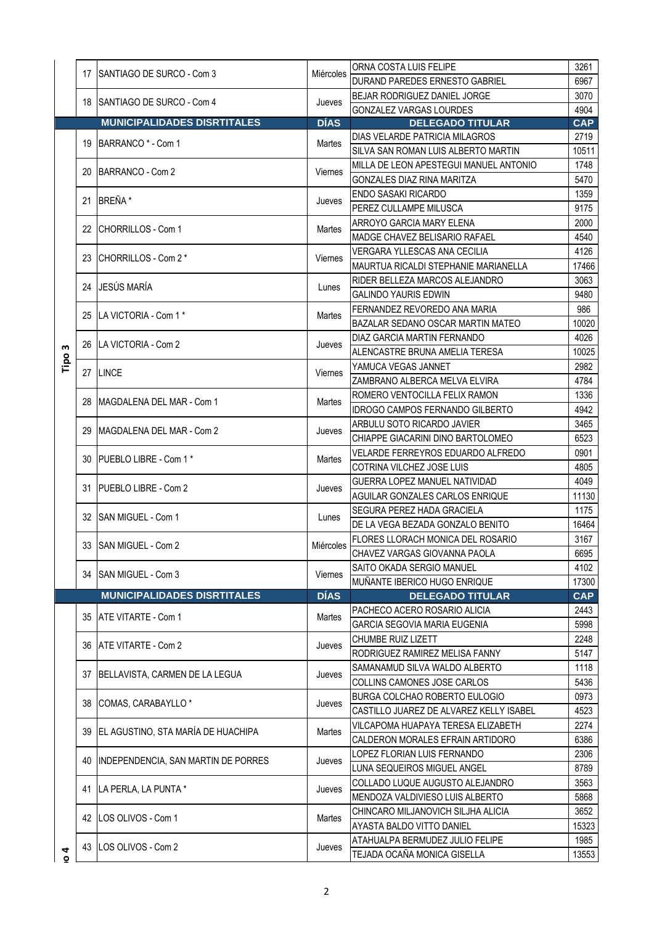|        |    |                                                                                              |                           | ORNA COSTA LUIS FELIPE                             | 3261         |
|--------|----|----------------------------------------------------------------------------------------------|---------------------------|----------------------------------------------------|--------------|
|        |    | 17 ISANTIAGO DE SURCO - Com 3                                                                | Miércoles                 | DURAND PAREDES ERNESTO GABRIEL                     | 6967         |
|        |    | 18 SANTIAGO DE SURCO - Com 4                                                                 |                           | BEJAR RODRIGUEZ DANIEL JORGE                       | 3070         |
|        |    |                                                                                              | Jueves                    | GONZALEZ VARGAS LOURDES                            | 4904         |
|        |    | <b>MUNICIPALIDADES DISRTITALES</b>                                                           | <b>DÍAS</b>               | <b>DELEGADO TITULAR</b>                            | <b>CAP</b>   |
|        |    | 19 BARRANCO * - Com 1                                                                        | Martes                    | DIAS VELARDE PATRICIA MILAGROS                     | 2719         |
|        |    |                                                                                              |                           | SILVA SAN ROMAN LUIS ALBERTO MARTIN                | 10511        |
|        |    | 20 BARRANCO - Com 2                                                                          | <b>Viernes</b>            | MILLA DE LEON APESTEGUI MANUEL ANTONIO             | 1748         |
|        |    |                                                                                              |                           | GONZALES DIAZ RINA MARITZA                         | 5470         |
|        |    | 21 BREÑA *                                                                                   | Jueves                    | <b>ENDO SASAKI RICARDO</b>                         | 1359         |
|        |    |                                                                                              |                           | PEREZ CULLAMPE MILUSCA                             | 9175         |
|        |    | 22 CHORRILLOS - Com 1                                                                        | Martes                    | ARROYO GARCIA MARY ELENA                           | 2000         |
|        |    |                                                                                              |                           | MADGE CHAVEZ BELISARIO RAFAEL                      | 4540         |
|        |    | 23 CHORRILLOS - Com 2 *                                                                      | <b>Viernes</b>            | VERGARA YLLESCAS ANA CECILIA                       | 4126         |
|        |    |                                                                                              |                           | <b>MAURTUA RICALDI STEPHANIE MARIANELLA</b>        | 17466        |
|        |    | 24 JESÚS MARÍA                                                                               |                           | RIDER BELLEZA MARCOS ALEJANDRO                     | 3063         |
|        |    |                                                                                              | Lunes                     | <b>GALINDO YAURIS EDWIN</b>                        | 9480         |
|        |    | 25 ILA VICTORIA - Com 1 *                                                                    | Martes                    | FERNANDEZ REVOREDO ANA MARIA                       | 986          |
|        |    |                                                                                              |                           | BAZALAR SEDANO OSCAR MARTIN MATEO                  | 10020        |
|        |    | 26 LA VICTORIA - Com 2                                                                       |                           | DIAZ GARCIA MARTIN FERNANDO                        | 4026         |
| m      |    |                                                                                              | Jueves                    | ALENCASTRE BRUNA AMELIA TERESA                     | 10025        |
| Tipo   | 27 | <b>LINCE</b>                                                                                 | Viernes                   | YAMUCA VEGAS JANNET                                | 2982         |
|        |    |                                                                                              |                           | ZAMBRANO ALBERCA MELVA ELVIRA                      | 4784         |
|        |    | 28 IMAGDALENA DEL MAR - Com 1                                                                | Martes                    | ROMERO VENTOCILLA FELIX RAMON                      | 1336         |
|        |    |                                                                                              |                           | IDROGO CAMPOS FERNANDO GILBERTO                    | 4942         |
|        |    | 29 IMAGDALENA DEL MAR - Com 2                                                                | Jueves                    | ARBULU SOTO RICARDO JAVIER                         | 3465         |
|        |    |                                                                                              |                           | CHIAPPE GIACARINI DINO BARTOLOMEO                  | 6523         |
|        |    | 30 <b>IPUEBLO LIBRE - Com 1*</b><br>31 <b>IPUEBLO LIBRE - Com 2</b><br>32 SAN MIGUEL - Com 1 | Martes<br>Jueves<br>Lunes | VELARDE FERREYROS EDUARDO ALFREDO                  | 0901         |
|        |    |                                                                                              |                           | COTRINA VILCHEZ JOSE LUIS                          | 4805         |
|        |    |                                                                                              |                           | GUERRA LOPEZ MANUEL NATIVIDAD                      | 4049         |
|        |    |                                                                                              |                           | AGUILAR GONZALES CARLOS ENRIQUE                    | 11130        |
|        |    |                                                                                              |                           | <b>SEGURA PEREZ HADA GRACIELA</b>                  | 1175         |
|        |    |                                                                                              |                           | DE LA VEGA BEZADA GONZALO BENITO                   | 16464        |
|        |    | 33 SAN MIGUEL - Com 2                                                                        |                           | FLORES LLORACH MONICA DEL ROSARIO                  | 3167         |
|        |    |                                                                                              |                           | Miércoles CHAVEZ VARGAS GIOVANNA PAOLA             | 6695         |
|        |    | 34 SAN MIGUEL - Com 3                                                                        | Viernes                   | SAITO OKADA SERGIO MANUEL                          | 4102         |
|        |    |                                                                                              |                           | MUÑANTE IBERICO HUGO ENRIQUE                       | 17300        |
|        |    | <b>MUNICIPALIDADES DISRTITALES</b>                                                           | <b>DÍAS</b>               | <b>DELEGADO TITULAR</b>                            | <b>CAP</b>   |
|        |    | 35 ATE VITARTE - Com 1<br>36 ATE VITARTE - Com 2                                             | Martes                    | PACHECO ACERO ROSARIO ALICIA                       | 2443         |
|        |    |                                                                                              |                           | GARCIA SEGOVIA MARIA EUGENIA<br>CHUMBE RUIZ LIZETT | 5998<br>2248 |
|        |    |                                                                                              | Jueves                    | RODRIGUEZ RAMIREZ MELISA FANNY                     | 5147         |
|        |    |                                                                                              |                           | SAMANAMUD SILVA WALDO ALBERTO                      | 1118         |
|        | 37 | BELLAVISTA, CARMEN DE LA LEGUA                                                               | Jueves                    | COLLINS CAMONES JOSE CARLOS                        | 5436         |
|        |    |                                                                                              |                           | <b>BURGA COLCHAO ROBERTO EULOGIO</b>               | 0973         |
|        | 38 | COMAS, CARABAYLLO <sup>*</sup>                                                               | Jueves                    | CASTILLO JUAREZ DE ALVAREZ KELLY ISABEL            | 4523         |
|        |    |                                                                                              |                           | VILCAPOMA HUAPAYA TERESA ELIZABETH                 | 2274         |
|        |    | 39 EL AGUSTINO, STA MARÍA DE HUACHIPA                                                        | Martes                    | CALDERON MORALES EFRAIN ARTIDORO                   | 6386         |
|        | 40 | <b>INDEPENDENCIA, SAN MARTIN DE PORRES</b>                                                   |                           | LOPEZ FLORIAN LUIS FERNANDO                        | 2306         |
|        |    |                                                                                              | Jueves                    | LUNA SEQUEIROS MIGUEL ANGEL                        | 8789         |
|        |    | 41 LA PERLA, LA PUNTA *                                                                      | Jueves                    | COLLADO LUQUE AUGUSTO ALEJANDRO                    | 3563         |
|        |    |                                                                                              |                           | MENDOZA VALDIVIESO LUIS ALBERTO                    | 5868         |
|        |    | 42 ILOS OLIVOS - Com 1                                                                       | Martes                    | CHINCARO MILJANOVICH SILJHA ALICIA                 | 3652         |
|        |    |                                                                                              |                           | AYASTA BALDO VITTO DANIEL                          | 15323        |
|        | 43 | LOS OLIVOS - Com 2                                                                           | Jueves                    | ATAHUALPA BERMUDEZ JULIO FELIPE                    | 1985         |
| 4<br>۰ |    |                                                                                              |                           | TEJADA OCAÑA MONICA GISELLA                        | 13553        |
|        |    |                                                                                              |                           |                                                    |              |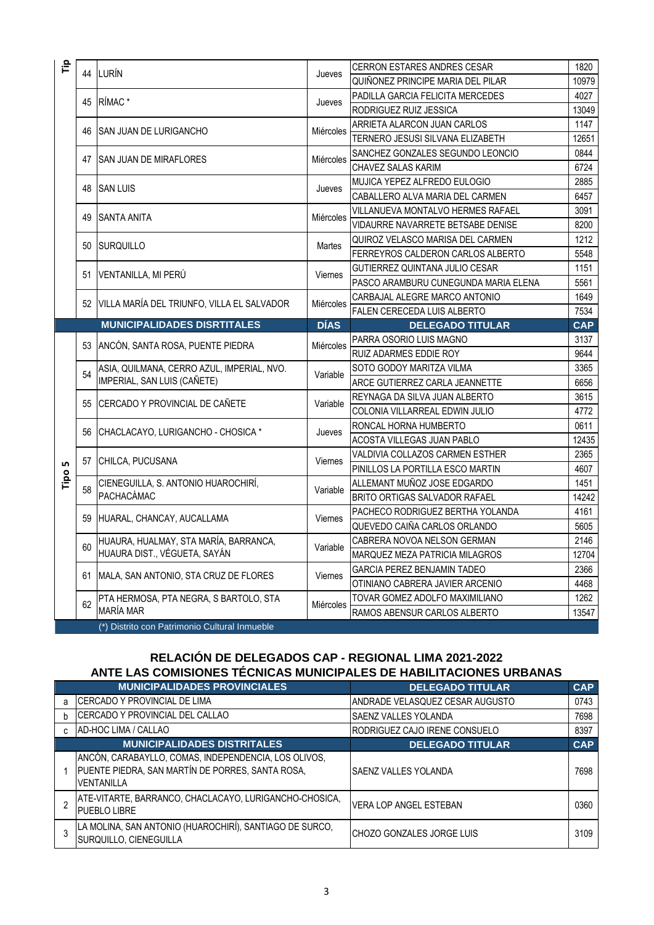| 운    |    |                                                                           |                | <b>CERRON ESTARES ANDRES CESAR</b>                             | 1820          |
|------|----|---------------------------------------------------------------------------|----------------|----------------------------------------------------------------|---------------|
|      | 44 | LURÍN                                                                     | Jueves         | QUIÑONEZ PRINCIPE MARIA DEL PILAR                              | 10979         |
|      | 45 | RÍMAC <sup>*</sup>                                                        |                | PADILLA GARCIA FELICITA MERCEDES                               | 4027          |
|      |    |                                                                           | Jueves         | RODRIGUEZ RUIZ JESSICA                                         | 13049         |
|      |    |                                                                           |                | ARRIETA ALARCON JUAN CARLOS                                    | 1147          |
|      | 46 | <b>SAN JUAN DE LURIGANCHO</b>                                             | Miércoles      | TERNERO JESUSI SILVANA ELIZABETH                               | 12651         |
|      |    |                                                                           |                | SANCHEZ GONZALES SEGUNDO LEONCIO                               | 0844          |
|      | 47 | <b>SAN JUAN DE MIRAFLORES</b>                                             | Miércoles      | <b>CHAVEZ SALAS KARIM</b>                                      | 6724          |
|      | 48 | <b>SAN LUIS</b>                                                           | Jueves         | MUJICA YEPEZ ALFREDO EULOGIO                                   | 2885          |
|      |    |                                                                           |                | CABALLERO ALVA MARIA DEL CARMEN                                | 6457          |
|      |    | <b>SANTA ANITA</b>                                                        | Miércoles      | VILLANUEVA MONTALVO HERMES RAFAEL                              | 3091          |
|      | 49 |                                                                           |                | VIDAURRE NAVARRETE BETSABE DENISE                              | 8200          |
|      | 50 | <b>SURQUILLO</b>                                                          | Martes         | QUIROZ VELASCO MARISA DEL CARMEN                               | 1212          |
|      |    |                                                                           |                | FERREYROS CALDERON CARLOS ALBERTO                              | 5548          |
|      | 51 | VENTANILLA, MI PERÚ                                                       | Viernes        | GUTIERREZ QUINTANA JULIO CESAR                                 | 1151          |
|      |    |                                                                           |                | PASCO ARAMBURU CUNEGUNDA MARIA ELENA                           | 5561          |
|      | 52 | VILLA MARÍA DEL TRIUNFO, VILLA EL SALVADOR                                | Miércoles      | CARBAJAL ALEGRE MARCO ANTONIO                                  | 1649          |
|      |    |                                                                           |                | FALEN CERECEDA LUIS ALBERTO                                    | 7534          |
|      |    | <b>MUNICIPALIDADES DISRTITALES</b>                                        | <b>DÍAS</b>    | <b>DELEGADO TITULAR</b>                                        | <b>CAP</b>    |
|      | 53 | ANCÓN, SANTA ROSA, PUENTE PIEDRA                                          | Miércoles      | PARRA OSORIO LUIS MAGNO                                        | 3137          |
|      |    |                                                                           |                | RUIZ ADARMES EDDIE ROY                                         | 9644          |
|      | 54 | ASIA, QUILMANA, CERRO AZUL, IMPERIAL, NVO.<br>IMPERIAL, SAN LUIS (CAÑETE) | Variable       | SOTO GODOY MARITZA VILMA                                       | 3365          |
|      |    |                                                                           |                | ARCE GUTIERREZ CARLA JEANNETTE                                 | 6656          |
|      | 55 | CERCADO Y PROVINCIAL DE CAÑETE                                            | Variable       | REYNAGA DA SILVA JUAN ALBERTO                                  | 3615          |
|      |    |                                                                           |                | COLONIA VILLARREAL EDWIN JULIO                                 | 4772          |
|      | 56 | CHACLACAYO, LURIGANCHO - CHOSICA *                                        | Jueves         | RONCAL HORNA HUMBERTO                                          | 0611          |
|      |    |                                                                           |                |                                                                |               |
|      | 57 |                                                                           |                | ACOSTA VILLEGAS JUAN PABLO                                     | 12435         |
|      |    | CHILCA, PUCUSANA                                                          | Viernes        | VALDIVIA COLLAZOS CARMEN ESTHER                                | 2365          |
| LN.  |    |                                                                           |                | PINILLOS LA PORTILLA ESCO MARTIN                               | 4607          |
| Tipo | 58 | CIENEGUILLA, S. ANTONIO HUAROCHIRÍ,                                       | Variable       | ALLEMANT MUÑOZ JOSE EDGARDO                                    | 1451          |
|      |    | PACHACÁMAC                                                                |                | BRITO ORTIGAS SALVADOR RAFAEL                                  | 14242         |
|      | 59 | HUARAL, CHANCAY, AUCALLAMA                                                | Viernes        | PACHECO RODRIGUEZ BERTHA YOLANDA                               | 4161          |
|      |    |                                                                           |                | QUEVEDO CAIÑA CARLOS ORLANDO                                   | 5605          |
|      | 60 | HUAURA, HUALMAY, STA MARÍA, BARRANCA,                                     | Variable       | CABRERA NOVOA NELSON GERMAN                                    | 2146          |
|      |    | HUAURA DIST., VÉGUETA, SAYÁN                                              |                | MARQUEZ MEZA PATRICIA MILAGROS                                 | 12704         |
|      | 61 | MALA, SAN ANTONIO, STA CRUZ DE FLORES                                     | <b>Viernes</b> | <b>GARCIA PEREZ BENJAMIN TADEO</b>                             | 2366          |
|      |    |                                                                           |                | OTINIANO CABRERA JAVIER ARCENIO                                | 4468          |
|      | 62 | PTA HERMOSA, PTA NEGRA, S BARTOLO, STA<br>MARÍA MAR                       | Miércoles      | TOVAR GOMEZ ADOLFO MAXIMILIANO<br>RAMOS ABENSUR CARLOS ALBERTO | 1262<br>13547 |

## **RELACIÓN DE DELEGADOS CAP - REGIONAL LIMA 2021-2022 ANTE LAS COMISIONES TÉCNICAS MUNICIPALES DE HABILITACIONES URBANAS**

|   | <b>MUNICIPALIDADES PROVINCIALES</b>                                                                                    | <b>DELEGADO TITULAR</b>         | <b>CAP</b> |
|---|------------------------------------------------------------------------------------------------------------------------|---------------------------------|------------|
| a | ICERCADO Y PROVINCIAL DE LIMA                                                                                          | ANDRADE VELASQUEZ CESAR AUGUSTO | 0743       |
|   | CERCADO Y PROVINCIAL DEL CALLAO                                                                                        | <b>SAENZ VALLES YOLANDA</b>     | 7698       |
|   | AD-HOC LIMA / CALLAO                                                                                                   | RODRIGUEZ CAJO IRENE CONSUELO   | 8397       |
|   | <b>MUNICIPALIDADES DISTRITALES</b>                                                                                     | <b>DELEGADO TITULAR</b>         | <b>CAP</b> |
|   | ANCÓN, CARABAYLLO, COMAS, INDEPENDENCIA, LOS OLIVOS,<br>PUENTE PIEDRA, SAN MARTÍN DE PORRES, SANTA ROSA,<br>VENTANILLA | SAENZ VALLES YOLANDA            | 7698       |
|   | ATE-VITARTE, BARRANCO, CHACLACAYO, LURIGANCHO-CHOSICA,<br>PUEBLO LIBRE                                                 | VERA LOP ANGEL ESTEBAN          | 0360       |
|   | LA MOLINA, SAN ANTONIO (HUAROCHIRÍ), SANTIAGO DE SURCO,<br>SURQUILLO, CIENEGUILLA                                      | ICHOZO GONZALES JORGE LUIS      | 3109       |